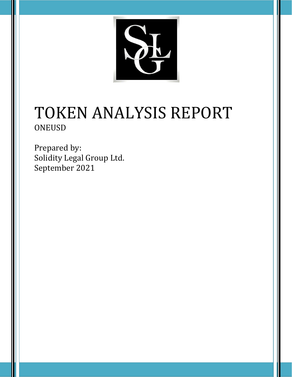

# TOKEN ANALYSIS REPORT ONEUSD

Prepared by: Solidity Legal Group Ltd. September 2021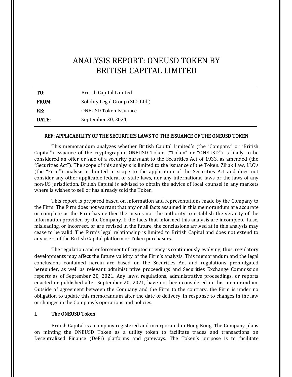# ANALYSIS REPORT: ONEUSD TOKEN BY BRITISH CAPITAL LIMITED

| TO:   | <b>British Capital Limited</b>  |
|-------|---------------------------------|
| FROM: | Solidity Legal Group (SLG Ltd.) |
| RF.   | <b>ONEUSD Token Issuance</b>    |
| DATE: | September 20, 2021              |

#### REF: APPLICABILITY OF THE SECURITIES LAWS TO THE ISSUANCE OF THE ONEUSD TOKEN

This memorandum analyzes whether British Capital Limited's (the "Company" or "British Capital") issuance of the cryptographic ONEUSD Token ("Token" or "ONEUSD") is likely to be considered an offer or sale of a security pursuant to the Securities Act of 1933, as amended (the "Securities Act"). The scope of this analysis is limited to the issuance of the Token. Ziliak Law, LLC's (the "Firm") analysis is limited in scope to the application of the Securities Act and does not consider any other applicable federal or state laws, nor any international laws or the laws of any non-US jurisdiction. British Capital is advised to obtain the advice of local counsel in any markets where is wishes to sell or has already sold the Token.

This report is prepared based on information and representations made by the Company to the Firm. The Firm does not warrant that any or all facts assumed in this memorandum are accurate or complete as the Firm has neither the means nor the authority to establish the veracity of the information provided by the Company. If the facts that informed this analysis are incomplete, false, misleading, or incorrect, or are revised in the future, the conclusions arrived at in this analysis may cease to be valid. The Firm's legal relationship is limited to British Capital and does not extend to any users of the British Capital platform or Token purchasers.

The regulation and enforcement of cryptocurrency is continuously evolving; thus, regulatory developments may affect the future validity of the Firm's analysis. This memorandum and the legal conclusions contained herein are based on the Securities Act and regulations promulgated hereunder, as well as relevant administrative proceedings and Securities Exchange Commission reports as of September 20, 2021. Any laws, regulations, administrative proceedings, or reports enacted or published after September 20, 2021, have not been considered in this memorandum. Outside of agreement between the Company and the Firm to the contrary, the Firm is under no obligation to update this memorandum after the date of delivery, in response to changes in the law or changes in the Company's operations and policies.

#### I. The ONEUSD Token

British Capital is a company registered and incorporated in Hong Kong. The Company plans on minting the ONEUSD Token as a utility token to facilitate trades and transactions on Decentralized Finance (DeFi) platforms and gateways. The Token's purpose is to facilitate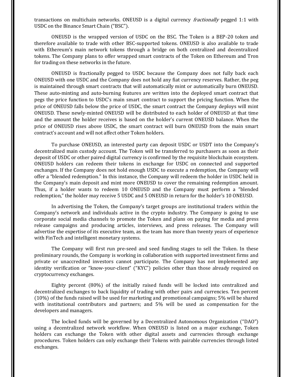transactions on multichain networks. ONEUSD is a digital currency *fractionally* pegged 1:1 with USDC on the Binance Smart Chain ("BSC").

ONEUSD is the wrapped version of USDC on the BSC. The Token is a BEP-20 token and therefore available to trade with other BSC-supported tokens. ONEUSD is also available to trade with Ethereum's main network tokens through a bridge on both centralized and decentralized tokens. The Company plans to offer wrapped smart contracts of the Token on Ethereum and Tron for trading on these networks in the future.

ONEUSD is fractionally pegged to USDC because the Company does not fully back each ONEUSD with one USDC and the Company does not hold any fiat currency reserves. Rather, the peg is maintained through smart contracts that will automatically mint or automatically burn ONEUSD. These auto-minting and auto-burning features are written into the deployed smart contract that pegs the price function to USDC's main smart contract to support the pricing function. When the price of ONEUSD falls below the price of USDC, the smart contract the Company deploys will mint ONEUSD. These newly-minted ONEUSD will be distributed to each holder of ONEUSD at that time and the amount the holder receives is based on the holder's current ONEUSD balance. When the price of ONEUSD rises above USDC, the smart contract will burn ONEUSD from the main smart contract's account and will not affect other Token holders.

To purchase ONEUSD, an interested party can deposit USDC or USDT into the Company's decentralized main custody account. The Token will be transferred to purchasers as soon as their deposit of USDC or other paired digital currency is confirmed by the requisite blockchain ecosystem. ONEUSD holders can redeem their tokens in exchange for USDC on connected and supported exchanges. If the Company does not hold enough USDC to execute a redemption, the Company will offer a "blended redemption." In this instance, the Company will redeem the holder in USDC held in the Company's main deposit and mint more ONEUSD to cover the remaining redemption amount. Thus, if a holder wants to redeem 10 ONEUSD and the Company must perform a "blended redemption," the holder may receive 5 USDC and 5 ONEUSD in return for the holder's 10 ONEUSD.

In advertising the Token, the Company's target groups are institutional traders within the Company's network and individuals active in the crypto industry. The Company is going to use corporate social media channels to promote the Token and plans on paying for media and press release campaigns and producing articles, interviews, and press releases. The Company will advertise the expertise of its executive team, as the team has more than twenty years of experience with FinTech and intelligent monetary systems.

The Company will first run pre-seed and seed funding stages to sell the Token. In these preliminary rounds, the Company is working in collaboration with supported investment firms and private or unaccredited investors cannot participate. The Company has not implemented any identity verification or "know-your-client" ("KYC") policies other than those already required on cryptocurrency exchanges.

Eighty percent (80%) of the initially raised funds will be locked into centralized and decentralized exchanges to back liquidity of trading with other pairs and currencies. Ten percent (10%) of the funds raised will be used for marketing and promotional campaigns; 5% will be shared with institutional contributors and partners; and 5% will be used as compensation for the developers and managers.

The locked funds will be governed by a Decentralized Autonomous Organization ("DAO") using a decentralized network workflow. When ONEUSD is listed on a major exchange, Token holders can exchange the Token with other digital assets and currencies through exchange procedures. Token holders can only exchange their Tokens with pairable currencies through listed exchanges.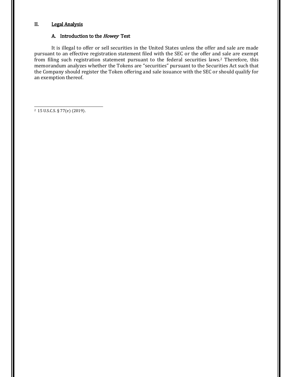### II. Legal Analysis

#### A. Introduction to the Howey Test

It is illegal to offer or sell securities in the United States unless the offer and sale are made pursuant to an effective registration statement filed with the SEC or the offer and sale are exempt from filing such registration statement pursuant to the federal securities laws.2 Therefore, this memorandum analyzes whether the Tokens are "securities" pursuant to the Securities Act such that the Company should register the Token offering and sale issuance with the SEC or should qualify for an exemption thereof.

<sup>2</sup> 15 U.S.C.S. § 77(e) (2019).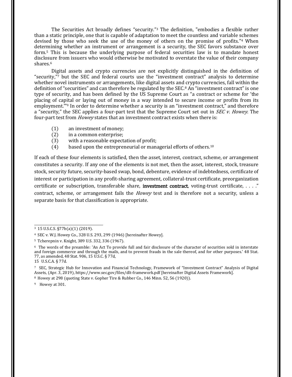<span id="page-4-0"></span>The Securities Act broadly defines "security." <sup>3</sup> [T](#page-4-0)he definition, "embodies a flexible rather than a static principle, one that is capable of adaptation to meet the countless and variable schemes devised by those who seek the use of the money of others on the promise of profits." <sup>4</sup> [W](#page-4-0)hen determining whether an instrument or arrangement is a security, the SEC favors substance over form.5 [T](#page-4-0)his is because the underlying purpose of federal securities law is to mandate honest disclosure from issuers who would otherwise be motivated to overstate the value of their company shares.[6](#page-4-0) 

Digital assets and crypto currencies are not explicitly distinguished in the definition of "security," <sup>7</sup> [b](#page-4-0)ut the SEC and federal courts use the "investment contract" analysis to determine whether novel instruments or arrangements, like digital assets and crypto currencies, fall within the definition of "securities" and can therefore be regulated by the SE[C.](#page-4-0)<sup>8</sup> An "investment contract" is one type of security, and has been defined by the US Supreme Court as "a contract or scheme for 'the placing of capital or laying out of money in a way intended to secure income or profits from its employment.'" <sup>9</sup> [I](#page-4-0)n order to determine whether a security is an "investment contract," and therefore a "security," the SEC applies a four-part test that the Supreme Court set out in *SEC v. Howey*. The four-part test from *Howey* states that an investment contract exists when there is:

- (1) an investment of money;
- (2) in a common enterprise;
- (3) with a reasonable expectation of profit;
- $(4)$  based upon the entrepreneurial or managerial efforts of others.<sup>[10](#page-4-0)</sup>

If each of these four elements is satisfied, then the asset, interest, contract, scheme, or arrangement constitutes a security. If any one of the elements is not met, then the asset, interest, stock, treasure stock, security future, security-based swap, bond, debenture, evidence of indebtedness, certificate of interest or participation in any profit-sharing agreement, collateral-trust certificate, preorganization certificate or subscription, transferable share, investment contract, voting-trust certificate, . . . ." contract, scheme, or arrangement fails the *Howey* test and is therefore not a security, unless a separate basis for that classification is appropriate.

<sup>8</sup> Howey at 298 (quoting State v. Gopher Tire & Rubber Co., 146 Minn. 52, 56 (1920)).

<sup>9</sup> Howey at 301.

<sup>3</sup> 15 U.S.C.S. §77b(a)(1) (2019).

<sup>4</sup> SEC v. W.J. Howey Co., 328 U.S. 293, 299 (1946) [hereinafter Howey].

<sup>5</sup> Tcherepnin v. Knight, 389 U.S. 332, 336 (1967).

<sup>6</sup> The words of the preamble: 'An Act To provide full and fair disclosure of the character of securities sold in interstate and foreign commerce and through the mails, and to prevent frauds in the sale thereof, and for other purposes.' 48 Stat. 77, as amended, 48 Stat. 906, 15 U.S.C. § 77d,

<sup>15</sup> U.S.C.A. § 77d.

<sup>7</sup> SEC, Strategic Hub for Innovation and Financial Technology, Framework of "Investment Contract" Analysis of Digital Assets, (Apr. 3, 2019), https://www.sec.gov/files/dlt-framework.pdf [hereinafter Digital Assets Framework].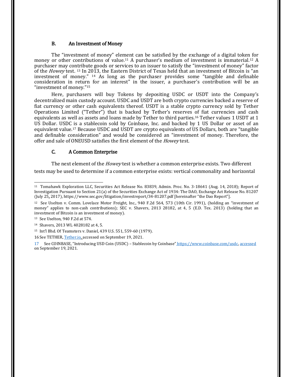#### <span id="page-5-0"></span>B. An Investment of Money

The "investment of money" element can be satisfied by the exchange of a digital token for money or other contributions of value.<sup>11</sup> [A](#page-5-0) purchaser's medium of investment is immaterial.<sup>[12](#page-5-0)</sup> A purchaser may contribute goods or services to an issuer to satisfy the "investment of money" factor of the *Howey* test. <sup>13</sup> [I](#page-5-0)n 2013, the Eastern District of Texas held that an investment of Bitcoin is "an investment of money." <sup>14</sup> [A](#page-5-0)s long as the purchaser provides some "tangible and definable consideration in return for an interest" in the issuer, a purchaser's contribution will be an "investment of money." [15](#page-5-0)

Here, purchasers will buy Tokens by depositing USDC or USDT into the Company's decentralized main custody account. USDC and USDT are both crypto currencies backed a reserve of fiat currency or other cash equivalents thereof. USDT is a stable crypto currency sold by Tether Operations Limited ("Tether") that is backed by Tether's reserves of fiat currencies and cash equivalents as well as assets and loans made by Tether to third parties.[16](#page-5-0) Tether values 1 USDT at 1 US Dollar. USDC is a stablecoin sold by Coinbase, Inc. and backed by 1 US Dollar or asset of an equivalent value.17 [B](#page-5-0)ecause USDC and USDT are crypto equivalents of US Dollars, both are "tangible and definable consideration" and would be considered an "investment of money. Therefore, the offer and sale of ONEUSD satisfies the first element of the *Howey* test.

#### C. A Common Enterprise

The next element of the *Howey* test is whether a common enterprise exists. Two different tests may be used to determine if a common enterprise exists: vertical commonality and horizontal

<sup>11</sup> Tomahawk Exploration LLC, Securities Act Release No. 83839, Admin. Proc. No. 3-18641 (Aug. 14, 2018); Report of Investigation Pursuant to Section 21(a) of the Securities Exchange Act of 1934: The DAO, Exchange Act Release No. 81207 (July 25, 2017), https://www.sec.gov/litigation/investreport/34-81207.pdf [hereinafter "the Dao Report"].

<sup>12</sup> See Uselton v. Comm. Lovelace Motor Freight, Inc., 940 F.2d 564, 573 (10th Cir. 1991), (holding an "investment of money" applies to non-cash contributions); SEC v. Shavers, 2013 28182, at 4, 5 (E.D. Tex. 2013) (holding that an investment of Bitcoin is an investment of money).

<sup>13</sup> See Uselton, 940 F.2d at 574.

<sup>14</sup> Shavers, 2013 WL 4028182 at 4, 5.

<sup>15</sup> Int'l Bhd. Of Teamsters v. Daniel, 439 U.S. 551, 559-60 (1979).

<sup>16</sup> See TETHER, [Tether.io, a](https://d.docs.live.net/2267b4bb331854b9/Documents/Ziliak%20Law%5eJ%20LLC/FT%20Cambridge/Deliverables/tether.io)ccessed on September 19, 2021.

<sup>17</sup> See COINBASE, "Introducing USD Coin (USDC) – Stablecoin by Coinbase" [https://www.coinbase.com/usdc, a](https://www.coinbase.com/usdc)ccessed on September 19, 2021.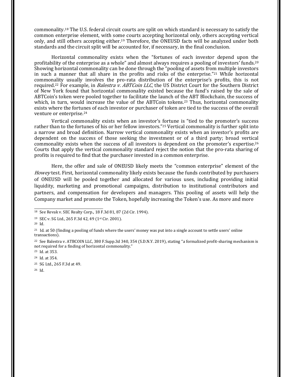<span id="page-6-0"></span>commonality.18 [T](#page-6-0)he U.S. federal circuit courts are split on which standard is necessary to satisfy the common enterprise element, with some courts accepting horizontal only, others accepting vertical only, and still others accepting either.19 [T](#page-6-0)herefore, the ONEUSD facts will be analyzed under both standards and the circuit split will be accounted for, if necessary, in the final conclusion.

Horizontal commonality exists when the "fortunes of each investor depend upon the profitability of the enterprise as a whole" and almost always requires a pooling of investors' funds.[20](#page-6-0) Showing horizontal commonality can be done through the "pooling of assets from multiple investors in such a manner that all share in the profits and risks of the enterprise." <sup>21</sup> [W](#page-6-0)hile horizontal commonality usually involves the pro-rata distribution of the enterprise's profits, this is not required.<sup>[22](#page-6-0)</sup> For example, in *Balestra v. ABTCoin LLC*, the US District Court for the Southern District of New York found that horizontal commonality existed because the fund's raised by the sale of ABTCoin's token were pooled together to facilitate the launch of the ABT Blockchain, the success of which, in turn, would increase the value of the ABTCoin tokens.<sup>23</sup> [T](#page-6-0)hus, horizontal commonality exists where the fortunes of each investor or purchaser of token are tied to the success of the overall venture or enterprise.[24](#page-6-0)

Vertical commonality exists when an investor's fortune is "tied to the promoter's success rather than to the fortunes of his or her fellow investors." [25](#page-6-0) Vertical commonality is further split into a narrow and broad definition. Narrow vertical commonality exists when an investor's profits are dependent on the success of those seeking the investment or of a third party; broad vertical commonality exists when the success of all investors is dependent on the promoter's expertise.[26](#page-6-0) Courts that apply the vertical commonality standard reject the notion that the pro-rata sharing of profits is required to find that the purchaser invested in a common enterprise.

Here, the offer and sale of ONEUSD likely meets the "common enterprise" element of the Howey test. First, horizontal commonality likely exists because the funds contributed by purchasers of ONEUSD will be pooled together and allocated for various uses, including providing initial liquidity, marketing and promotional campaigns, distribution to institutional contributors and partners, and compensation for developers and managers. This pooling of assets will help the Company market and promote the Token, hopefully increasing the Token's use. As more and more

<sup>18</sup> See Revak v. SEC Realty Corp., 18 F.3d 81, 87 (2d Cir. 1994).

<sup>19</sup> SEC v. SG Ltd., 265 F.3d 42, 49 (1st Cir. 2001).

<sup>20</sup> Id.

 $21$  Id. at 50 (finding a pooling of funds where the users' money was put into a single account to settle users' online transactions).

<sup>22</sup> See Balestra v. ATBCOIN LLC, 380 F.Supp.3d 340, 354 (S.D.N.Y. 2019), stating "a formalized profit-sharing mechanism is not required for a finding of horizontal commonality."

<sup>23</sup> Id. at 353.

<sup>24</sup> Id. at 354.

<sup>25</sup> SG Ltd., 265 F.3d at 49.

<sup>26</sup> Id.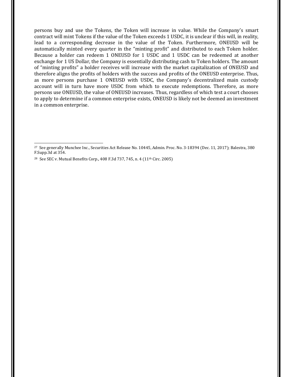persons buy and use the Tokens, the Token will increase in value. While the Company's smart contract will mint Tokens if the value of the Token exceeds 1 USDC, it is unclear if this will, in reality, lead to a corresponding decrease in the value of the Token. Furthermore, ONEUSD will be automatically minted every quarter in the "minting profit" and distributed to each Token holder. Because a holder can redeem 1 ONEUSD for 1 USDC and 1 USDC can be redeemed at another exchange for 1 US Dollar, the Company is essentially distributing cash to Token holders. The amount of "minting profits" a holder receives will increase with the market capitalization of ONEUSD and therefore aligns the profits of holders with the success and profits of the ONEUSD enterprise. Thus, as more persons purchase 1 ONEUSD with USDC, the Company's decentralized main custody account will in turn have more USDC from which to execute redemptions. Therefore, as more persons use ONEUSD, the value of ONEUSD increases. Thus, regardless of which test a court chooses to apply to determine if a common enterprise exists, ONEUSD is likely not be deemed an investment in a common enterprise.

<sup>27</sup> See generally Munchee Inc., Securities Act Release No. 10445, Admin. Proc. No. 3-18394 (Dec. 11, 2017); Balestra, 380 F.Supp.3d at 354.

<sup>&</sup>lt;sup>28</sup> See SEC v. Mutual Benefits Corp., 408 F.3d 737, 745, n. 4 (11<sup>th</sup> Circ. 2005)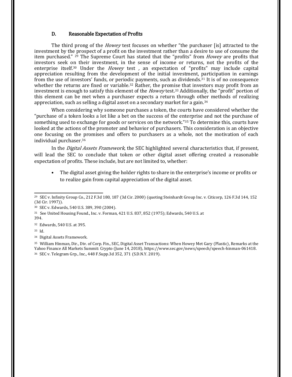#### <span id="page-8-0"></span>D. Reasonable Expectation of Profits

The third prong of the *Howey* test focuses on whether "the purchaser [is] attracted to the investment by the prospect of a profit on the investment rather than a desire to use of consume the item purchased." <sup>29</sup> [T](#page-8-0)he Supreme Court has stated that the "profits" from *Howey* are profits that investors seek on their investment, in the sense of income or returns, not the profits of the enterprise itself.<sup>30</sup> [U](#page-8-0)nder the *Howey* test, an expectation of "profits" may include capital appreciation resulting from the development of the initial investment, participation in earnings from the use of investors' funds, or periodic payments, such as dividends.[31](#page-8-0) It is of no consequence whether the returns are fixed or variable.<sup>32</sup> [R](#page-8-0)ather, the promise that investors may profit from an investment is enough to satisfy this element of the *Howey* test.<sup>[33](#page-8-0)</sup> Additionally, the "profit" portion of this element can be met when a purchaser expects a return through other methods of realizing appreciation, such as selling a digital asset on a secondary market for a gain.[34](#page-8-0)

When considering why someone purchases a token, the courts have considered whether the "purchase of a token looks a lot like a bet on the success of the enterprise and not the purchase of something used to exchange for goods or services on the network." <sup>35</sup> [T](#page-8-0)o determine this, courts have looked at the actions of the promoter and behavior of purchasers. This consideration is an objective one focusing on the promises and offers to purchasers as a whole, not the motivation of each individual purchaser.[36](#page-8-0)

In the *Digital Assets Framework*, the SEC highlighted several characteristics that, if present, will lead the SEC to conclude that token or other digital asset offering created a reasonable expectation of profits. These include, but are not limited to, whether:

• The digital asset giving the holder rights to share in the enterprise's income or profits or to realize gain from capital appreciation of the digital asset.

<sup>32</sup> Edwards, 540 U.S. at 395.

<sup>33</sup> Id.

<sup>34</sup> Digital Assets Framework.

<sup>35</sup> William Hinman, Dir., Div. of Corp. Fin., SEC, Digital Asset Transactions: When Howey Met Gary (Plastic), Remarks at the Yahoo Finance All Markets Summit: Crypto (June 14, 2018), https://www.sec.gov/news/speech/speech-hinman-061418. <sup>36</sup> SEC v. Telegram Grp., Inc., 448 F.Supp.3d 352, 371 (S.D.N.Y. 2019).

<sup>29</sup> SEC v. Infinity Group Co., 212 F.3d 180, 187 (3d Cir. 2000) (quoting Steinhardt Group Inc. v. Citicorp, 126 F.3d 144, 152 (3d Cir. 1997)).

<sup>30</sup> SEC v. Edwards, 540 U.S. 389, 390 (2004).

<sup>31</sup> See United Housing Found., Inc. v. Forman, 421 U.S. 837, 852 (1975); Edwards, 540 U.S. at 394.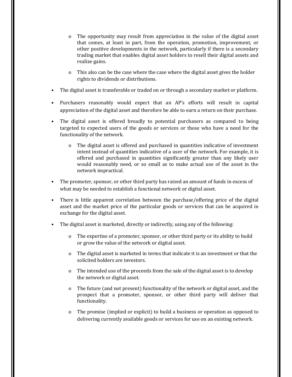- o The opportunity may result from appreciation in the value of the digital asset that comes, at least in part, from the operation, promotion, improvement, or other positive developments in the network, particularly if there is a secondary trading market that enables digital asset holders to resell their digital assets and realize gains.
- o This also can be the case where the case where the digital asset gives the holder rights to dividends or distributions.
- The digital asset is transferable or traded on or through a secondary market or platform.
- Purchasers reasonably would expect that an AP's efforts will result in capital appreciation of the digital asset and therefore be able to earn a return on their purchase.
- The digital asset is offered broadly to potential purchasers as compared to being targeted to expected users of the goods or services or those who have a need for the functionality of the network.
	- o The digital asset is offered and purchased in quantities indicative of investment intent instead of quantities indicative of a user of the network. For example, it is offered and purchased in quantities significantly greater than any likely user would reasonably need, or so small as to make actual use of the asset in the network impractical.
- The promoter, sponsor, or other third party has raised an amount of funds in excess of what may be needed to establish a functional network or digital asset.
- There is little apparent correlation between the purchase/offering price of the digital asset and the market price of the particular goods or services that can be acquired in exchange for the digital asset.
- The digital asset is marketed, directly or indirectly, using any of the following:
	- o The expertise of a promoter, sponsor, or other third party or its ability to build or grow the value of the network or digital asset.
	- o The digital asset is marketed in terms that indicate it is an investment or that the solicited holders are investors.
	- o The intended use of the proceeds from the sale of the digital asset is to develop the network or digital asset.
	- o The future (and not present) functionality of the network or digital asset, and the prospect that a promoter, sponsor, or other third party will deliver that functionality.
	- o The promise (implied or explicit) to build a business or operation as opposed to delivering currently available goods or services for use on an existing network.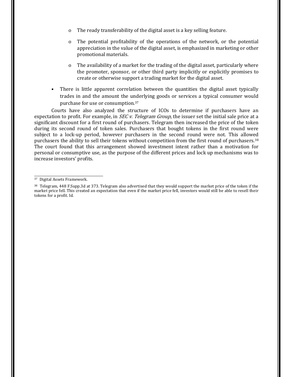- <span id="page-10-0"></span>o The ready transferability of the digital asset is a key selling feature.
- o The potential profitability of the operations of the network, or the potential appreciation in the value of the digital asset, is emphasized in marketing or other promotional materials.
- o The availability of a market for the trading of the digital asset, particularly where the promoter, sponsor, or other third party implicitly or explicitly promises to create or otherwise support a trading market for the digital asset.
- There is little apparent correlation between the quantities the digital asset typically trades in and the amount the underlying goods or services a typical consumer would purchase for use or consumption.[37](#page-10-0)

Courts have also analyzed the structure of ICOs to determine if purchasers have an expectation to profit. For example, in *SEC v. Telegram Group*, the issuer set the initial sale price at a significant discount for a first round of purchasers. Telegram then increased the price of the token during its second round of token sales. Purchasers that bought tokens in the first round were subject to a lock-up period, however purchasers in the second round were not. This allowed purchasers the ability to sell their tokens without competition from the first round of purchasers.[38](#page-10-0) The court found that this arrangement showed investment intent rather than a motivation for personal or consumptive use, as the purpose of the different prices and lock up mechanisms was to increase investors' profits.

<sup>37</sup> Digital Assets Framework.

<sup>38</sup> Telegram, 448 F.Supp.3d at 373. Telegram also advertised that they would support the market price of the token if the market price fell. This created an expectation that even if the market price fell, investors would still be able to resell their tokens for a profit. Id.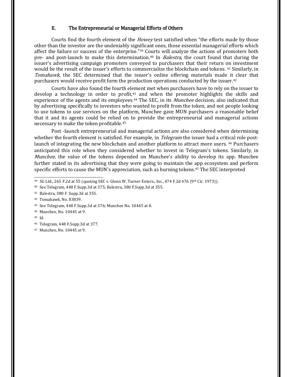#### <span id="page-11-0"></span>E. The Entrepreneurial or Managerial Efforts of Others

Courts find the fourth element of the *Howey* test satisfied when "the efforts made by those other than the investor are the undeniably significant ones, those essential managerial efforts which affect the failure or success of the enterprise." <sup>39</sup> [C](#page-11-0)ourts will analyze the actions of promoters both pre- and post-launch to make this determination.<sup>40</sup> [I](#page-11-0)n *Balestra*, the court found that during the issuer's advertising campaign promoters conveyed to purchasers that their return on investment would be the result of the issuer's efforts to commercialize the blockchain and tokens. [41](#page-11-0) Similarly, in Tomahawk, the SEC determined that the issuer's online offering materials made it clear that purchasers would receive profit form the production operations conducted by the issuer.[42](#page-11-0)

Courts have also found the fourth element met when purchasers have to rely on the issuer to develop [a](#page-11-0) technology in order to profit,<sup>43</sup> and when the promoter highlights the skills and experience of the agents and its employees.<sup>[44](#page-11-0)</sup> The SEC, in its *Munchee* decision, also indicated that by advertising specifically to investors who wanted to profit from the token, and not people looking to use tokens to use services on the platform, Munchee gave MUN purchasers a reasonable belief that it and its agents could be relied on to provide the entrepreneurial and managerial actions necessary to make the token profitable.[45](#page-11-0)

Post -launch entrepreneurial and managerial actions are also considered when determining whether the fourth element is satisfied. For example, in *Telegram* the issuer had a critical role post-launch of integrating the new blockchain and another platform to attract more users. <sup>46</sup> [P](#page-11-0)urchasers anticipated this role when they considered whether to invest in Telegram's tokens. Similarly, in Munchee, the value of the tokens depended on Munchee's ability to develop its app. Munchee further stated in its advertising that they were going to maintain the app ecosystem and perform specific efforts to cause the MUN's appreciation, such as burning tokens.47 [T](#page-11-0)he SEC interpreted

<sup>46</sup> Telegram, 448 F.Supp.3d at 377.

 $39$  SG Ltd., 265 F.2d at 55 (quoting SEC v. Glenn W. Turner Enters., Inc., 474 F.2d 476 (9th Cir. 1973)).

<sup>40</sup> See Telegram, 448 F.Supp.3d at 375; Balestra, 380 F.Supp.3d at 355.

<sup>41</sup> Balestra, 380 F. Supp.3d at 355.

<sup>42</sup> Tomahawk, No. 83839.

<sup>43</sup> See Telegram, 448 F.Supp.3d at 376; Munchee No. 10445 at 8.

<sup>44</sup> Munchee, No. 10445 at 9.

<sup>45</sup> Id.

<sup>47</sup> Munchee, No. 10445 at 9.